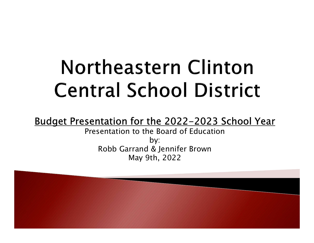# Northeastern Clinton **Central School District**

### Budget Presentation for the 2022-2023 School Year

Presentation to the Board of Education by: Robb Garrand & Jennifer Brown May 9th, 2022

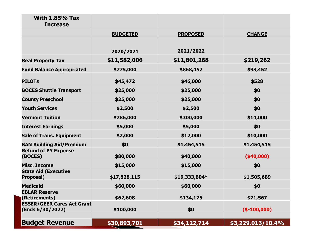| \$0<br><b>County Preschool</b><br>\$25,000<br>\$25,000<br><b>Youth Services</b><br>\$0<br>\$2,500<br>\$2,500<br><b>Vermont Tuition</b><br>\$286,000<br>\$300,000<br>\$14,000<br>\$0<br><b>Interest Earnings</b><br>\$5,000<br>\$5,000<br>\$2,000<br>\$10,000<br><b>Sale of Trans. Equipment</b><br>\$12,000<br><b>BAN Building Aid/Premium</b><br>\$0<br>\$1,454,515<br>\$1,454,515<br><b>Refund of PY Expense</b><br>(BOCES)<br>\$80,000<br>\$40,000<br>(\$40,000)<br><b>Misc. Income</b><br>\$15,000<br>\$15,000<br>\$0<br><b>State Aid (Executive</b><br>\$17,828,115<br>\$19,333,804*<br>\$1,505,689<br><b>Proposal)</b><br><b>Medicaid</b><br>\$0<br>\$60,000<br>\$60,000<br><b>EBLAR Reserve</b><br>(Retirements)<br>\$62,608<br>\$134,175<br>\$71,567<br><b>ESSER/GEER Cares Act Grant</b><br>\$0<br>\$100,000<br>$(*-100,000)$<br>(Ends 6/30/2022) |
|------------------------------------------------------------------------------------------------------------------------------------------------------------------------------------------------------------------------------------------------------------------------------------------------------------------------------------------------------------------------------------------------------------------------------------------------------------------------------------------------------------------------------------------------------------------------------------------------------------------------------------------------------------------------------------------------------------------------------------------------------------------------------------------------------------------------------------------------------------|
|                                                                                                                                                                                                                                                                                                                                                                                                                                                                                                                                                                                                                                                                                                                                                                                                                                                            |
|                                                                                                                                                                                                                                                                                                                                                                                                                                                                                                                                                                                                                                                                                                                                                                                                                                                            |
|                                                                                                                                                                                                                                                                                                                                                                                                                                                                                                                                                                                                                                                                                                                                                                                                                                                            |
|                                                                                                                                                                                                                                                                                                                                                                                                                                                                                                                                                                                                                                                                                                                                                                                                                                                            |
|                                                                                                                                                                                                                                                                                                                                                                                                                                                                                                                                                                                                                                                                                                                                                                                                                                                            |
|                                                                                                                                                                                                                                                                                                                                                                                                                                                                                                                                                                                                                                                                                                                                                                                                                                                            |
|                                                                                                                                                                                                                                                                                                                                                                                                                                                                                                                                                                                                                                                                                                                                                                                                                                                            |
|                                                                                                                                                                                                                                                                                                                                                                                                                                                                                                                                                                                                                                                                                                                                                                                                                                                            |
|                                                                                                                                                                                                                                                                                                                                                                                                                                                                                                                                                                                                                                                                                                                                                                                                                                                            |
|                                                                                                                                                                                                                                                                                                                                                                                                                                                                                                                                                                                                                                                                                                                                                                                                                                                            |
|                                                                                                                                                                                                                                                                                                                                                                                                                                                                                                                                                                                                                                                                                                                                                                                                                                                            |
| <b>BOCES Shuttle Transport</b><br>\$0<br>\$25,000<br>\$25,000                                                                                                                                                                                                                                                                                                                                                                                                                                                                                                                                                                                                                                                                                                                                                                                              |
| \$528<br><b>PILOTs</b><br>\$45,472<br>\$46,000                                                                                                                                                                                                                                                                                                                                                                                                                                                                                                                                                                                                                                                                                                                                                                                                             |
| \$868,452<br>\$93,452<br><b>Fund Balance Appropriated</b><br>\$775,000                                                                                                                                                                                                                                                                                                                                                                                                                                                                                                                                                                                                                                                                                                                                                                                     |
| \$11,582,006<br>\$11,801,268<br>\$219,262<br><b>Real Property Tax</b>                                                                                                                                                                                                                                                                                                                                                                                                                                                                                                                                                                                                                                                                                                                                                                                      |
| 2021/2022<br>2020/2021                                                                                                                                                                                                                                                                                                                                                                                                                                                                                                                                                                                                                                                                                                                                                                                                                                     |
| <b>BUDGETED</b><br><b>PROPOSED</b><br><b>CHANGE</b>                                                                                                                                                                                                                                                                                                                                                                                                                                                                                                                                                                                                                                                                                                                                                                                                        |
| <b>With 1.85% Tax</b><br><b>Increase</b>                                                                                                                                                                                                                                                                                                                                                                                                                                                                                                                                                                                                                                                                                                                                                                                                                   |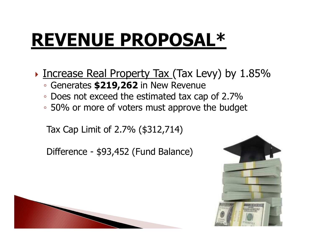# **REVENUE PROPOSAL\***

- ▶ Increase Real Property Tax (Tax Levy) by 1.85% ncrease Real Property Tax (Tax Levy) |<br>
Generates \$219,262 in New Revenue<br>
Does not exceed the estimated tax cap of 2<br>
50% or more of voters must approve the bu<br>
Tax Cap Limit of 2.7% (\$312,714)<br>
Difference - \$93,452 (Fund
	- Generates \$219,262 in New Revenue
	- Does not exceed the estimated tax cap of 2.7%
	- 50% or more of voters must approve the budget

Tax Cap Limit of 2.7% (\$312,714)



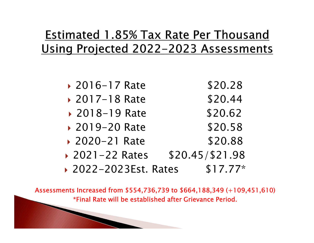# Estimated 1.85% Tax Rate Per Thousand Using Projected 2022-2023 Assessments

- 2016-17 Rate \$20.28
- 2017–18 Rate \$20.44
- 2018-19 Rate \$20.62
- 2019–20 Rate \$20.58
- 2020-21 Rate \$20.88
- ▶ 2021-22 Rates \$20.45/\$21.98
- ▶ 2022-2023Est. Rates \$17.77\*

Assessments Increased from \$554,736,739 to \$664,188,349 (+109,451,610) \*Final Rate will be established after Grievance Period.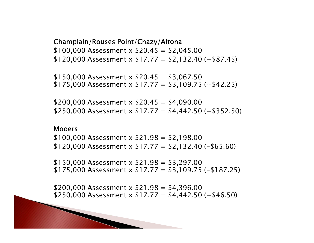### Champlain/Rouses Point/Chazy/Altona

 $$100,000$  Assessment x  $$20.45 = $2,045.00$  $$120,000$  Assessment x  $$17.77 = $2,132.40 (+ $87.45)$ 

 $$150,000$  Assessment x  $$20.45 = $3.067.50$  $$175,000$  Assessment x  $$17.77 = $3,109.75$  (+\$42.25)

\$200,000 Assessment x  $$20.45 = $4,090.00$ \$250,000 Assessment x  $$17.77 = $4,442.50 + $352.50$ 

### Mooers

 $$100,000$  Assessment x  $$21.98 = $2,198.00$ \$120,000 Assessment x  $$17.77 = $2,132.40 (-1565.60)$ 

 $$150,000$  Assessment x  $$21.98 = $3,297.00$ \$175,000 Assessment x  $$17.77 = $3,109.75 (-187.25)$ 

\$200,000 Assessment x  $$21.98 = $4,396.00$  $$250,000$  Assessment x  $$17.77 = $4,442.50$  (+\$46.50)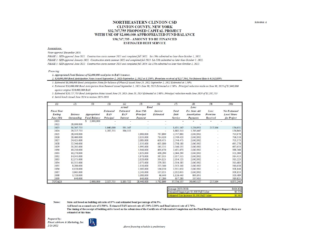### **NORTHEASTERN CLINTON CSD CLINTON COUNTY, NEW YORK** \$32,767,755 PROPOSED CAPITAL PROJECT WITH USE OF \$2,000,000 APPROPRIATED FUND BALANCE \$30,767,755 - AMOUNT TO BE FINANCED **ESTIMATED DEBT SERVICE**

### Assumptions:

Voter approval December 2019.

PHASE 1: SED approval June 2021. Construction starts summer 2021 and completed fall 2022. SA-139s submitted no later than October 1, 2021. PHASE 2: SED approval January 2022. Construction starts summer 2022 and completed fall 2023. SA-139s submitted no later than October 1, 2022. PHASE 3: SED approval June 2022. Construction starts summer 2023 and completed fall 2024. SA-139s submitted no later than October 1, 2022.

Financing:

1. Appropriated Fund Balance of \$2,000,000 used prior to BAN issuance.

2. \$20,000,000 Bond Anticipation Notes issued September 2, 2021-September 2, 2022 at 1.250%. Premium received of \$217,564, Net Interest Rate is 0.162180%

3. Estimated \$6,000,000 Bond Anticipation Notes for balance of Phase II issued June 23, 2022-September 2, 2022 Estimated at 1.50%.

4. Estimated \$26,000,000 Bond Anticipation Note Renewal issued September 1, 2022-June 30, 2023 Estimated at 1.50%. Principal reduction made on June 30, 2023 of \$1,040,000 against original \$20,000,000 BAN.

5. Estimated \$29,727,755 Bond Anticipation Notes issued June 29, 2023-June 29, 2024 Estimated at 2.00%. Principal reduction made June 2024 of \$1,287,755

6. Serial bonds issued June 2024 to mature 2025-2039

| (1)                | (2)                | (3)                 | (3)              | (4)              | (5)         | (6)                      | (7)            | (8)                 | (9)                      | (10)                 |
|--------------------|--------------------|---------------------|------------------|------------------|-------------|--------------------------|----------------|---------------------|--------------------------|----------------------|
|                    |                    |                     |                  | Actual/          | <b>Bond</b> |                          |                | Less:               |                          |                      |
| <b>Fiscal Year</b> |                    |                     | <b>Estimated</b> | <b>Estimated</b> | June 15th   | Interest                 | Total          | Est. State Aid      | Less:                    | <b>Net Estimated</b> |
| Ending             | <b>Balance</b>     | Appropriated        | <b>BAN</b>       | BAN              | Principal   | <b>Estimated</b>         | Debt           | <b>Amortization</b> | Premium                  | <b>Local Share</b>   |
| June 30th          | <b>Outstanding</b> | <b>Fund Balance</b> | Principal        | <b>Interest</b>  | Payment     |                          | <b>Service</b> | Payments            | Received                 | for Project          |
| 2021               |                    | 2,000,000           |                  |                  |             |                          |                |                     |                          |                      |
| 2022               | 26,000,000         |                     |                  |                  |             |                          |                |                     |                          |                      |
| 2023               | 30.767.755         |                     | 1,040,000        | 591,167          |             | $\sim$                   | 1,631,167      | 1,236,951           | 217.564                  | 176,651              |
| 2024               | 29,727,755         |                     | 1,287,755        | 594,555          |             | $\overline{\phantom{a}}$ | 1,882,310      | 1,705,447           |                          | 176,863              |
| 2025               | 28,440,000         |                     |                  |                  | 1,980,000   | 767,880                  | 2,747,880      | 2,042,902           |                          | 704,978              |
| 2026               | 26,460,000         |                     |                  |                  | 2,035,000   | 714,420                  | 2,749,420      | 2,042,902           | ۰                        | 706,518              |
| 2027               | 24,425,000         |                     |                  |                  | 2,085,000   | 659,475                  | 2.744,475      | 2,042,902           | ۰                        | 701,573              |
| 2028               | 22,340,000         |                     |                  |                  | 2,135,000   | 603,180                  | 2,738,180      | 2,042,902           | ٠                        | 695,278              |
| 2029               | 20,205,000         |                     |                  |                  | 1,995,000   | 545,535                  | 2,540,535      | 2,042,902           | ÷,                       | 497,633              |
| 2030               | 18,210,000         |                     |                  |                  | 1,940,000   | 491,670                  | 2,431,670      | 2,042,902           | ۰                        | 388,768              |
| 2031               | 16,270,000         |                     |                  |                  | 1,925,000   | 439,290                  | 2,364,290      | 2.042.902           | $\overline{\phantom{a}}$ | 321,388              |
| 2032               | 14,345,000         |                     |                  |                  | 1,970,000   | 387,315                  | 2,357,315      | 2,042,902           | ۰                        | 314,413              |
| 2033               | 12,375,000         |                     |                  |                  | 2,020,000   | 334,125                  | 2,354,125      | 2,042,902           | ۰                        | 311,223              |
| 2034               | 10,355,000         |                     |                  |                  | 2,075,000   | 279,585                  | 2,354,585      | 2,042,902           |                          | 311,683              |
| 2035               | 8,280,000          |                     |                  |                  | 2,130,000   | 223,560                  | 2,353,560      | 2,042,902           | ٠                        | 310,658              |
| 2036               | 6,150,000          |                     |                  |                  | 2,185,000   | 166,050                  | 2.351,050      | 2,042,902           | ۷                        | 308,148              |
| 2037               | 3,965,000          |                     |                  |                  | 2,245,000   | 107,055                  | 2,352,055      | 2,042,902           | ۰                        | 309,153              |
| 2038               | 1,720,000          |                     |                  |                  | 1,080,000   | 46,440                   | 1,126,440      | 805,951             |                          | 320,489              |
| 2039               | 640,000            |                     |                  |                  | 640,000     | 17,280                   | 657,280        | 337,455             |                          | 319,825              |
| <b>TOTALS</b>      |                    | 2,000,000           | 2,327,755        | 1,185,722        | 28,440,000  | 5,782,860                | 37,736,337     | 30,643,527          | 217.564                  | 6,875,246            |

|                                                                | \$404,426 |  |  |
|----------------------------------------------------------------|-----------|--|--|
| Average 2023-2038:<br>Estimated Impact per \$1,000 Full Value: | \$0.729   |  |  |
| Estimated Tax Increase \$1,000 Full Value:                     | \$0.363   |  |  |

Notes: State Aid based on building aid ratio of 87% and estimated bond percentage of 94.5%.

Aid based on assumed rate of 1.500%. Estimated BAN interest rate of 1.50%-2.00% and Bond interest rate of 2.70%.

The timing of the receipt of building aid is based on the submission of the Certificate of Substantial Completion and the Final Buildng Project Report which are estimated at this time.

Prepared by: Fiscal Advisors & Marketing, Inc. 2/23/2022



Above financing schedule is preliminary

Schedule A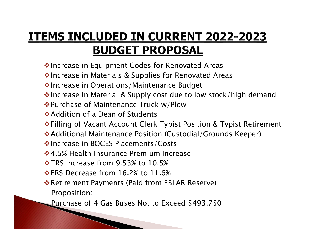# **ITEMS INCLUDED IN CURRENT 2022-2023 BUDGET PROPOSAL**

- ◆ Increase in Equipment Codes for Renovated Areas
- ❖ Increase in Materials & Supplies for Renovated Areas
- ◆ Increase in Operations/Maintenance Budget
- $\cdot$  Increase in Material & Supply cost due to low stock/high demand
- Purchase of Maintenance Truck w/Plow
- Addition of a Dean of Students
- Filling of Vacant Account Clerk Typist Position & Typist Retirement
- Additional Maintenance Position (Custodial/Grounds Keeper)
- **Volutions** in BOCES Placements/Costs
- **◆4.5% Health Insurance Premium Increase**
- TRS Increase from 9.53% to 10.5%
- ERS Decrease from 16.2% to 11.6%

- **Example 18 Ferrita Payments (Paid from EBLAR Reserve)** 
	- Proposition:
	- Purchase of 4 Gas Buses Not to Exceed \$493,750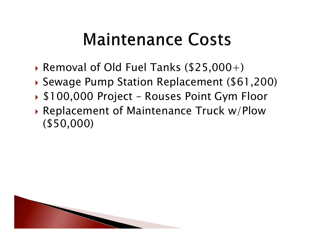- Removal of Old Fuel Tanks  $(\$25,000+)$
- Sewage Pump Station Replacement (\$61,200)
- 
- **Maintenance Costs<br>
 Removal of Old Fuel Tanks (\$25,000+)<br>
 Sewage Pump Station Replacement (\$61,200)<br>• \$100,000 Project Rouses Point Gym Floor<br>• Replacement of Maintenance Truck w/Plow<br>(\$50,000)** ▶ Replacement of Maintenance Truck w/Plow (\$50,000)

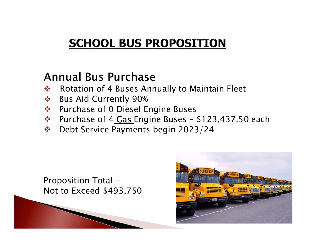# **SCHOOL BUS PROPOSITION**<br>
Annual Bus Purchase<br>
\* Rotation of 4 Buses Annually to Maintain Fleet<br>
\* Bus Aid Currently 90%<br>
\* Purchase of 0 <u>Diesel Engine Buses</u><br>
\* Purchase of 4 <u>Gas Engine Buses</u> - \$123,437.50<br>
\* Debt Serv

# Annual Bus Purchase

- ❖ Rotation of 4 Buses Annually to Maintain Fleet
- ❖ Bus Aid Currently 90%
- 
- SCHOOL BUS PROPOSITION<br>
Annual Bus Purchase<br>
\* Rotation of 4 Buses Annually to Maintain Fleet<br>
\* Bus Aid Currently 90%<br>
\* Purchase of 0 <u>Diesel Engine Buses</u><br>
\* Purchase of 4 <u>Gas Engine Buses</u> \$123,437.50 each<br>
\* Debt S
- Debt Service Payments begin 2023/24

Proposition Total – Not to Exceed \$493,750

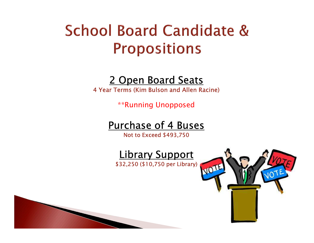# **School Board Candidate & Propositions**

## 2 Open Board Seats

4 Year Terms (Kim Bulson and Allen Racine)

\*\*Running Unopposed

# Purchase of 4 Buses

Not to Exceed \$493,750

Library Support \$32,250 (\$10,750 per Library)